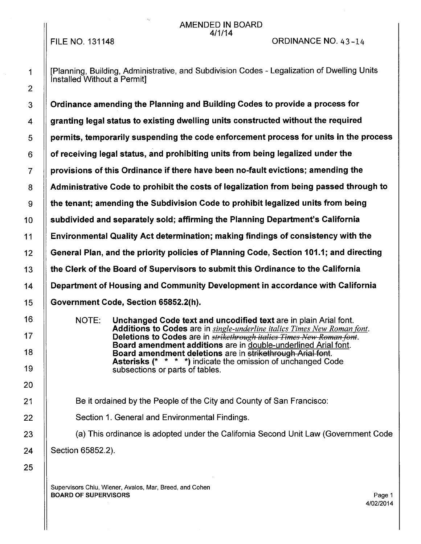#### AMENDED IN BOARD 4/1/14

FILE NO. 131148

#### ORDINANCE NO. 43-14

1 | [Planning, Building, Administrative, and Subdivision Codes - Legalization of Dwelling Units Installed Without a Permit]

3 | Ordinance amending the Planning and Building Codes to provide a process for  $4$   $\parallel$  granting legal status to existing dwelling units constructed without the required  $5$   $\parallel$  permits, temporarily suspending the code enforcement process for units in the process  $6$   $\parallel$  of receiving legal status, and prohibiting units from being legalized under the  $7$   $\parallel$  provisions of this Ordinance if there have been no-fault evictions; amending the  $8$   $\parallel$  Administrative Code to prohibit the costs of legalization from being passed through to  $\mathfrak{g}$   $\parallel$  the tenant; amending the Subdivision Code to prohibit legalized units from being  $10$   $\parallel$  subdivided and separately sold; affirming the Planning Department's California 11 Environmental Quality Act determination; making findings of consistency with the 12 Seneral Plan, and the priority policies of Planning Code, Section 101.1; and directing 13 the Clerk of the Board of Supervisors to submit this Ordinance to the California 14 Department of Housing and Community Development in accordance with California 15 || Government Code, Section 65852.2(h).

> NOTE: Unchanged Code text and uncodified text are in plain Arial font. Additions to Codes are in *single-underline italics Times New Roman font.*  Deletions to Codes are in *strikethrough italics Times New Roman font.* Board amendment additions are in double-underlined Arial font. Board amendment deletions are in strikethrough Arial font. Asterisks (\* \* \* \*) indicate the omission of unchanged Code subsections or parts of tables.

21 **Be it ordained by the People of the City and County of San Francisco:** 

22 | Section 1. General and Environmental Findings.

23 | (a) This ordinance is adopted under the California Second Unit Law (Government Code 24 | Section 65852.2).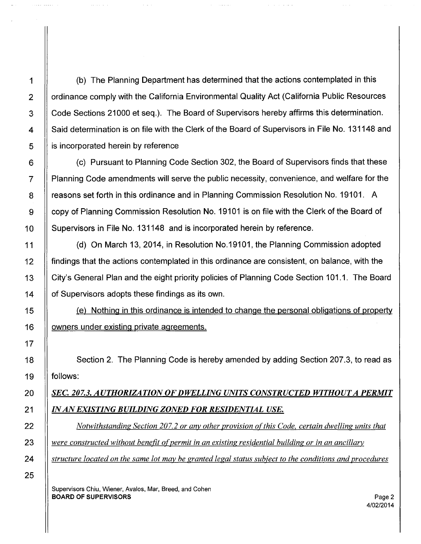1 (b) The Planning Department has determined that the actions contemplated in this 2 | ordinance comply with the California Environmental Quality Act (California Public Resources 3 Code Sections 21000 et seq.). The Board of Supervisors hereby affirms this determination. 4 | Said determination is on file with the Clerk of the Board of Supervisors in File No. 131148 and  $5 \parallel$  is incorporated herein by reference

 $\sim$   $\sim$   $\sim$ 

6 | (c) Pursuant to Planning Code Section 302, the Board of Supervisors finds that these 7 Planning Code amendments will serve the public necessity, convenience, and welfare for the 8 | reasons set forth in this ordinance and in Planning Commission Resolution No. 19101. A 9 copy of Planning Commission Resolution No. 19101 is on file with the Clerk of the Board of 10 | Supervisors in File No. 131148 and is incorporated herein by reference.

11 (d) On March 13, 2014, in Resolution No.19101, the Planning Commission adopted 12 findings that the actions contemplated in this ordinance are consistent, on balance, with the 13 | City's General Plan and the eight priority policies of Planning Code Section 101.1. The Board 14 | of Supervisors adopts these findings as its own.

15 (e) Nothing in this ordinance is intended to change the personal obligations of property 16 | owners under existing private agreements.

18 | Section 2. The Planning Code is hereby amended by adding Section 207.3, to read as 19 || follows:

### 20 *SEC. 207.3. AUTHORIZATION OF DWELLING UNITS CONSTRUCTED WITHOUT A PERMIT* 21 *IN AN EXISTING BUILDING ZONED FOR RESIDENTIAL USE.*

22 *Notwithstanding Section 207.2 or any other provision of this Code, certain dwelling units that* 23 || were constructed without benefit of permit in an existing residential building or in an ancillary 24 *structure located on the same lot may be granted legal status subject to the conditions and procedures*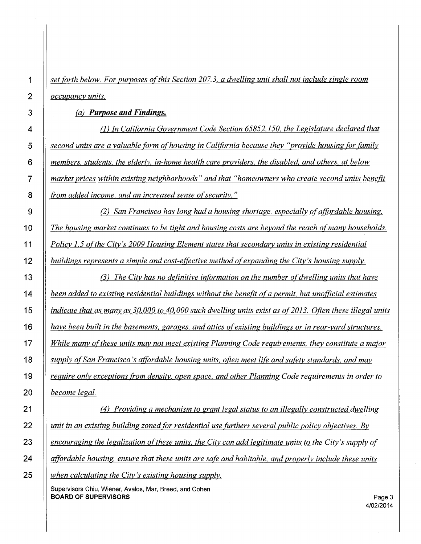*set forth below. For purposes ofthis Section 207.3. a dwelling unit shall not include single room occupancy units.* 

(a) *Purpose and Findings.* 

(1) *In California Government Code Section 65852.150, the Legislature declared that second units are a valuable form of housing in California because they "provide housing [or family members. students. the elderly, in-home health care providers. the disabled, and others, at below market prices within existing neighborhoods" and that "homeowners who create second units benefit from added income, and an increased sense of security.* "

*(2) San Francisco has long had a housing shortage, especially of affordable housing. The housing market continues to be tight and housing costs are beyond the reach of many households. Policy 1.5 of the City's 2009 Housing Element states that secondary units in existing residential buildings represents a simple and cost-effective method of expanding the City's housing supply.* 

*(3) The City has no definitive information on the number of dwelling units that have been added to existing residential buildings without the benefit of a permit. but unofficial estimates i <i>indicate that as many as 30,000 to 40,000 such dwelling units exist as of 2013. Often these illegal units have been built in the basements, garages, and attics of existing buildings or in rear-yard structures. While many of these units may not meet existing Planning Code requirements. they constitute a major supply ofSan Francisco's atfordable housing units. often meet life and safety standards, and may require only exceptions from density. open space, and other Planning Code requirements in order to become legal.* 

*(4) Providing a mechanism to grant legal status to an illegally constructed dwelling unit in an existing building zoned for residential use furthers several public policy objectives. By encouraging the legalization of these units. the City can add legitimate units to the City's supply of affordable housing, ensure that these units are safe and habitable, and properly include these units when calculating the City's existing housing supply.*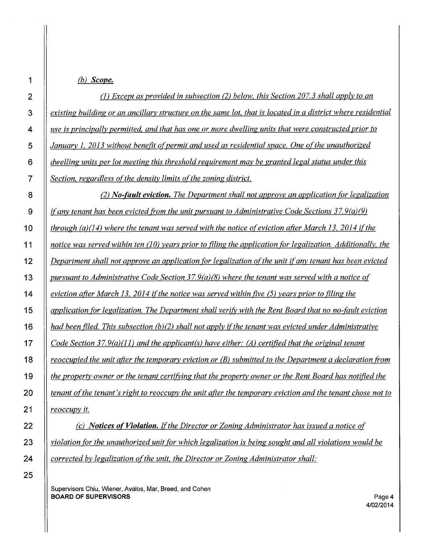**{b)** *Scope.* 

| $\overline{2}$          | (1) Except as provided in subsection (2) below, this Section 207.3 shall apply to an                          |
|-------------------------|---------------------------------------------------------------------------------------------------------------|
| 3                       | existing building or an ancillary structure on the same lot, that is located in a district where residential  |
| $\overline{\mathbf{4}}$ | use is principally permitted, and that has one or more dwelling units that were constructed prior to          |
| 5                       | January 1, 2013 without benefit of permit and used as residential space. One of the unauthorized              |
| 6                       | dwelling units per lot meeting this threshold requirement may be granted legal status under this              |
| $\overline{7}$          | Section, regardless of the density limits of the zoning district.                                             |
| 8                       | (2) No-fault eviction. The Department shall not approve an application for legalization                       |
| 9                       | if any tenant has been evicted from the unit pursuant to Administrative Code Sections $37.9(a)(9)$            |
| 10                      | through (a)(14) where the tenant was served with the notice of eviction after March 13, 2014 if the           |
| 11                      | notice was served within ten $(10)$ years prior to filing the application for legalization. Additionally, the |
| 12                      | Department shall not approve an application for legalization of the unit if any tenant has been evicted       |
| 13                      | pursuant to Administrative Code Section $37.9(a)(8)$ where the tenant was served with a notice of             |
| 14                      | eviction after March 13, 2014 if the notice was served within five (5) years prior to filing the              |
| 15                      | application for legalization. The Department shall verify with the Rent Board that no no-fault eviction       |
| 16                      | had been filed. This subsection $(b)(2)$ shall not apply if the tenant was evicted under Administrative       |
| 17                      | Code Section 37.9(a)(11) and the applicant(s) have either: (A) certified that the original tenant             |
| 18                      | reoccupied the unit after the temporary eviction or $(B)$ submitted to the Department a declaration from      |
| 19                      | the property owner or the tenant certifying that the property owner or the Rent Board has notified the        |
| 20                      | tenant of the tenant's right to reoccupy the unit after the temporary eviction and the tenant chose not to    |
| 21                      | reoccupy it.                                                                                                  |
| 22                      | (c) <b>Notices of Violation.</b> If the Director or Zoning Administrator has issued a notice of               |

*(c) Notices of Violation. If the Director or Zoning Administrator has issued a notice of violation (or the unauthorized unit (or which legalization is being sought and all violations would be corrected by legalization of the unit, the Director or Zoning Administrator shall:*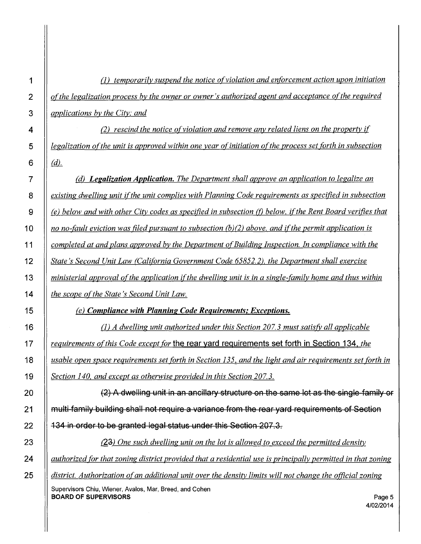(1) *temporarily suspend the notice of violation and enforcement action upon initiation || of the legalization process by the owner or owner's authorized agent and acceptance of the required applications by the City; and* 

*(2) rescind the notice of violation and remove any related liens on the property if ll legalization of the unit is approved within one year of initiation of the process set forth in subsection* 6  $\| (d)$ .

*(d) Legalization Application. The Department shall approve an application to legalize an existing dwelling unit if the unit complies with Planning Code requirements as specified in subsection* **<b>8**  *(e) below and with other City codes as specified in subsection (f) below, if the Rent Board verifies that l no no-fault eviction was filed pursuant to subsection (b)(2) above, and if the permit application is completed at and plans approved by the Department of Building Inspection. In compliance with the State's Second Unit Law (California Government Code 65852. 2). the Department shall exercise ministerial approval of the application if the dwelling unit is in a single-family home and thus within the scope ofthe State's Second Unit Law.* 

(e) *Compliance with Planning Code Requirements; Exceptions.* 

(1) *A dwelling unit authorized under this Section 207. 3 must satisfY all applicable requirements o(this Code except for* **the rear yard requirements set forth in Section 134.** *the usable open space requirements set forth in Section 135. and the light and air requirements set forth in Section 140. and except as otherwise provided in this Section 207. 3.* 

20 **1 20 <b>1 20 (2) A dwelling unit in an ancillary structure on the same lot as the single-family or 21 multi family building shall not require a variance from the rear yard requirements of Section 22 134 in order to be granted legal status under this Section 207.3.** 

23 **b.** *One such dwelling unit on the lot is allowed to exceed the permitted density* $\frac{1}{2}$ *authorized [or that zoning district provided that a residential use is principally permitted in that zoning district. Authorization of an additional unit over the density limits will not change the official zoning* 

Supervisors Chiu, Wiener, Avalos, Mar, Breed, and Cohen **BOARD OF SUPERVISORS** 

4/02/2014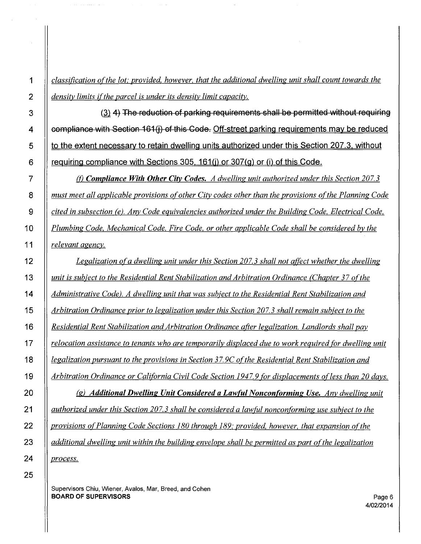*classification of the lot; provided, however, that the additional dwelling unit shall count towards the* **density limits if the parcel is under its density limit capacity.** 

3 || (3) 4) The reduction of parking requirements shall be permitted without requiring 4  $\parallel$  compliance with Section 161(j) of this Code. Off-street parking requirements may be reduced  $\vert$  to the extent necessary to retain dwelling units authorized under this Section 207.3. without 6 | requiring compliance with Sections 305, 161(i) or 307(g) or (i) of this Code.

**Fig. 3** (*f*) *Compliance With Other City Codes. A dwelling unit authorized under this Section 207.3 must meet all applicable provisions of other City codes other than the provisions of the Planning Code cited in subsection (e). Any Code equivalencies authorized under the Building Code, Electrical Code. Plumbing Code, Mechanical Code. Fire Code, or other applicable Code shall be considered by the relevant agency.* 

*Legalization of a dwelling unit under this Section 207. 3 shall not affect whether the dwelling unit is subject to the Residential Rent Stabilization and Arbitration Ordinance (Chapter 37 ofthe Administrative Code). A dwelling unit that was subject to the Residential Rent Stabilization and Arbitration Ordinance prior to legalization under this Section 207.3 shall remain subject to the Residential Rent Stabilization and Arbitration Ordinance afier legalization. Landlords shall pay relocation assistance to tenants who are temporarily displaced due to work required {Or dwelling unit legalization pursuant to the provisions in Section 37.9C of the Residential Rent Stabilization and Arbitration Ordinance or California Civil Code Section 1947.9 for displacements of less than 20 days. (g) Additional Dwelling Unit Considered a Lawful Nonconforming Use. Any dwelling unit authorized under this Section 207.3 shall be considered a lawful noncon{Orming use subject to the provisions of Planning Code Sections 180 through 189; provided, however, that expansion oft he additional dwelling unit within the building envelope shall be permitted as part of the legalization* 

*process.* 

Supervisors Chiu, Wiener, Avalos, Mar, Breed, and Cohen BOARD OF SUPERVISORS Page 6

 $\alpha$  . The constraints are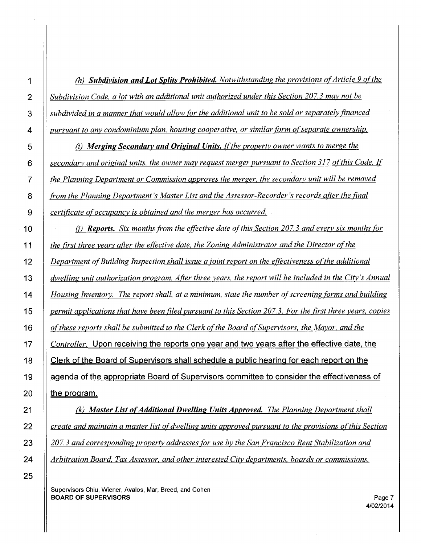1 | (h) **Subdivision and Lot Splits Prohibited.** Notwithstanding the provisions of Article 9 of the *Subdivision Code. a lot with an additional unit authorized under this Section 207.3 may not be subdivided in a manner that would allow for the additional unit to be sold or separately financed pursuant to any condominium plan. housing cooperative. or similar form of separate ownership.* 

(i) *Merging Secondary and Original Units.* If *the property owner wants to merge the secondary and original units. the owner may request merger pursuant to Section 317 of this Code. If the Planning Department or Commission approves the merger, the secondary unit will be removed from the Planning Department's Master List and the Assessor-Recorder's records after the final certificate of occupancy is obtained and the merger has occurred* 

10 || *(i) Reports. Six months from the effective date of this Section 207.3 and every six months for the first three years after the effective date, the Zoning Administrator and the Director ofthe Department of Building Inspection shall issue a joint report on the effectiveness ofthe additional dwelling unit authorization program. After three years. the report will be included in the City's Annual Housing Inventory. The report shall. at a minimum. state the number of screening forms and building permit applications that have been filed pursuant to this Section 207.3. For the first three years, copies o(these reports shall be submitted to the Clerk ofthe Board of Supervisors, the Mayor. and the Controller.* Upon receiving the reports one year and two years after the effective date, the 18 | Clerk of the Board of Supervisors shall schedule a public hearing for each report on the **agenda of the appropriate Board of Supervisors committee to consider the effectiveness of**  $\parallel$  the program.

21 | (k) Master List of Additional Dwelling Units Approved. The Planning Department shall *create and maintain a master list of dwelling units approved pursuant to the provisions oft his Section*  23 | 207.3 and corresponding property addresses for use by the San Francisco Rent Stabilization and *Arbitration Board, Tax Assessor, and other interested City departments. boards or commissions.*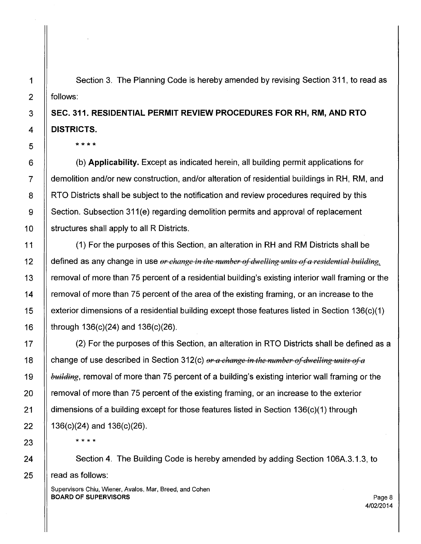Section 3. The Planning Code is hereby amended by revising Section 311, to read as follows:

# **SEC. 311. RESIDENTIAL PERMIT REVIEW PROCEDURES FOR RH, RM, AND RTO DISTRICTS.**

\*\*\*\*

(b) **Applicability.** Except as indicated herein, all building permit applications for demolition and/or new construction, and/or alteration of residential buildings in RH, RM, and RTO Districts shall be subject to the notification and review procedures required by this Section. Subsection 311(e) regarding demolition permits and approval of replacement structures shall apply to all R Districts.

(1) For the purposes of this Section, an alteration in RH and RM Districts shall be defined as any change in use *or change in the number of dwelling units of a residential building,* removal of more than 75 percent of a residential building's existing interior wall framing or the removal of more than 75 percent of the area of the existing framing, or an increase to the exterior dimensions of a residential building except those features listed in Section 136(c)(1) through 136(c)(24) and 136(c)(26).

(2) For the purposes of this Section, an alteration in RTO Districts shall be defined as a change of use described in Section 312(c) or a change in the number of dwelling units of a *building*, removal of more than 75 percent of a building's existing interior wall framing or the removal of more than 75 percent of the existing framing, or an increase to the exterior dimensions of a building except for those features listed in Section 136(c)(1) through 136(c)(24) and 136(c)(26).

\* \* \* \*

Section 4. The Building Code is hereby amended by adding Section 106A.3.1.3, to read as follows: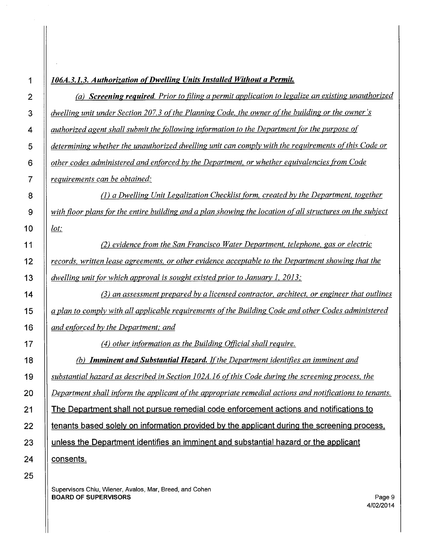| 1              | 106A.3.1.3. Authorization of Dwelling Units Installed Without a Permit.                                   |
|----------------|-----------------------------------------------------------------------------------------------------------|
| $\overline{2}$ | (a) Screening required. Prior to filing a permit application to legalize an existing unauthorized         |
| 3              | dwelling unit under Section 207.3 of the Planning Code, the owner of the building or the owner's          |
| 4              | authorized agent shall submit the following information to the Department for the purpose of              |
| 5              | determining whether the unauthorized dwelling unit can comply with the requirements of this Code or       |
| 6              | other codes administered and enforced by the Department, or whether equivalencies from Code               |
| $\overline{7}$ | requirements can be obtained:                                                                             |
| 8              | (1) a Dwelling Unit Legalization Checklist form, created by the Department, together                      |
| 9              | with floor plans for the entire building and a plan showing the location of all structures on the subject |
| 10             | lot:                                                                                                      |
| 11             | (2) evidence from the San Francisco Water Department, telephone, gas or electric                          |
| 12             | records, written lease agreements, or other evidence acceptable to the Department showing that the        |
| 13             | dwelling unit for which approval is sought existed prior to January 1, 2013;                              |
| 14             | (3) an assessment prepared by a licensed contractor, architect, or engineer that outlines                 |
| 15             | a plan to comply with all applicable requirements of the Building Code and other Codes administered       |
| 16             | and enforced by the Department; and                                                                       |
| 17             | (4) other information as the Building Official shall require.                                             |
| 18             | <b>Imminent and Substantial Hazard.</b> If the Department identifies an imminent and<br>(b)               |
| 19             | substantial hazard as described in Section 102A.16 of this Code during the screening process, the         |
| 20             | Department shall inform the applicant of the appropriate remedial actions and notifications to tenants.   |
| 21             | The Department shall not pursue remedial code enforcement actions and notifications to                    |
| 22             | tenants based solely on information provided by the applicant during the screening process,               |
| 23             | unless the Department identifies an imminent and substantial hazard or the applicant                      |
| 24             | consents.                                                                                                 |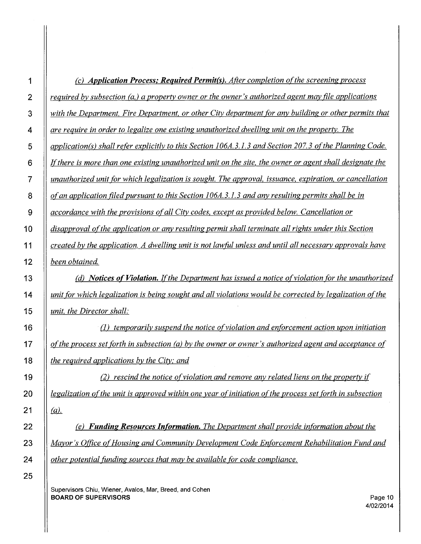| 1              | (c) Application Process; Required Permit(s). After completion of the screening process                    |
|----------------|-----------------------------------------------------------------------------------------------------------|
| $\overline{2}$ | required by subsection (a,) a property owner or the owner's authorized agent may file applications        |
| 3              | with the Department, Fire Department, or other City department for any building or other permits that     |
| 4              | are require in order to legalize one existing unauthorized dwelling unit on the property. The             |
| 5              | application(s) shall refer explicitly to this Section 106A.3.1.3 and Section 207.3 of the Planning Code.  |
| 6              | If there is more than one existing unauthorized unit on the site, the owner or agent shall designate the  |
| 7              | unauthorized unit for which legalization is sought. The approval, issuance, expiration, or cancellation   |
| 8              | of an application filed pursuant to this Section 106A.3.1.3 and any resulting permits shall be in         |
| 9              | accordance with the provisions of all City codes, except as provided below. Cancellation or               |
| 10             | disapproval of the application or any resulting permit shall terminate all rights under this Section      |
| 11             | created by the application. A dwelling unit is not lawful unless and until all necessary approvals have   |
| 12             | been obtained.                                                                                            |
| 13             | (d) Notices of Violation. If the Department has issued a notice of violation for the unauthorized         |
| 14             | unit for which legalization is being sought and all violations would be corrected by legalization of the  |
| 15             | unit, the Director shall:                                                                                 |
| 16             | (1) temporarily suspend the notice of violation and enforcement action upon initiation                    |
| 17             | of the process set forth in subsection (a) by the owner or owner's authorized agent and acceptance of     |
| 18             | the required applications by the City; and                                                                |
| 19             | (2) rescind the notice of violation and remove any related liens on the property if                       |
| 20             | legalization of the unit is approved within one year of initiation of the process set forth in subsection |
| 21             | $(a)$ .                                                                                                   |
| 22             | (e) Funding Resources Information. The Department shall provide information about the                     |
| 23             | Mayor's Office of Housing and Community Development Code Enforcement Rehabilitation Fund and              |
| 24             | other potential funding sources that may be available for code compliance.                                |
| 25             |                                                                                                           |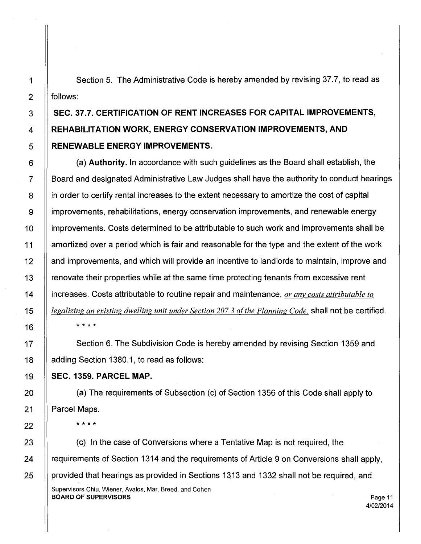Section 5. The Administrative Code is hereby amended by revising 37.7, to read as follows:

## **SEC. 37.7. CERTIFICATION OF RENT INCREASES FOR CAPITAL IMPROVEMENTS, REHABILITATION WORK, ENERGY CONSERVATION IMPROVEMENTS, AND RENEWABLE ENERGY IMPROVEMENTS.**

(a) **Authority.** In accordance with such guidelines as the Board shall establish, the Board and designated Administrative Law Judges shall have the authority to conduct hearings in order to certify rental increases to the extent necessary to amortize the cost of capital improvements, rehabilitations, energy conservation improvements, and renewable energy improvements. Costs determined to be attributable to such work and improvements shall be amortized over a period which is fair and reasonable for the type and the extent of the work and improvements, and which will provide an incentive to landlords to maintain, improve and renovate their properties while at the same time protecting tenants from excessive rent increases. Costs attributable to routine repair and maintenance, *or anv costs attributable to*  legalizing an existing dwelling unit under Section 207.3 of the Planning Code, shall not be certified. \* \* \* \*

Section 6. The Subdivision Code is hereby amended by revising Section 1359 and adding Section 1380.1, to read as follows:

#### **SEC. 1359. PARCEL MAP.**

(a) The requirements of Subsection (c) of Section 1356 of this Code shall apply to Parcel Maps.

\* \* \* \*

(c) In the case of Conversions where a Tentative Map is not required, the requirements of Section 1314 and the requirements of Article 9 on Conversions shall apply, provided that hearings as provided in Sections 1313 and 1332 shall not be required, and Supervisors Chiu, Wiener, Avalos, Mar, Breed, and Cohen BOARD OF SUPERVISORS And the state of the state of the state of the state of the state of the state of the state of the state of the state of the state of the state of the state of the state of the state of the state of th 4/02/2014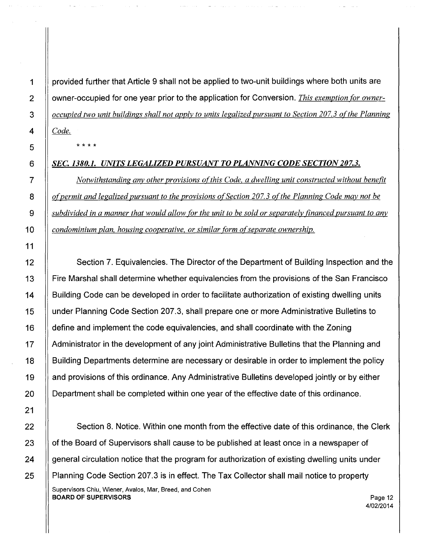provided further that Article 9 shall not be applied to two-unit buildings where both units are owner-occupied for one year prior to the application for Conversion. *This exemption for owneroccupied two unit buildings shall not apply to units legalized pursuant to Section 207.3 of the Planning*  Code.

\* \* \* \*

### *SEC. 1380.1. UNITS LEGALIZED PURSUANT TO PLANNING CODE SECTION 207.3.*

*Notwithstanding any other provisions of this Code, a dwelling unit constructed without benefit*  of permit and legalized pursuant to the provisions of Section 207.3 of the Planning Code may not be *subdivided in a manner that would allow (Or the unit to be sold or separately financed pursuant to any condominium plan, housing cooperative, or similar form of separate ownership.* 

12 Section 7. Equivalencies. The Director of the Department of Building Inspection and the 13 Fire Marshal shall determine whether equivalencies from the provisions of the San Francisco 14 | Building Code can be developed in order to facilitate authorization of existing dwelling units 15 under Planning Code Section 207.3, shall prepare one or more Administrative Bulletins to 16 | define and implement the code equivalencies, and shall coordinate with the Zoning 17 | Administrator in the development of any joint Administrative Bulletins that the Planning and 18 Building Departments determine are necessary or desirable in order to implement the policy 19 and provisions of this ordinance. Any Administrative Bulletins developed jointly or by either 20 | Department shall be completed within one year of the effective date of this ordinance.

22 | Section 8. Notice. Within one month from the effective date of this ordinance, the Clerk 23 | of the Board of Supervisors shall cause to be published at least once in a newspaper of  $24$  | general circulation notice that the program for authorization of existing dwelling units under 25 | Planning Code Section 207.3 is in effect. The Tax Collector shall mail notice to property Supervisors Chiu, Wiener, Avalos, Mar, Breed, and Cohen BOARD OF SUPERVISORS **Page 12** 

4/02/2014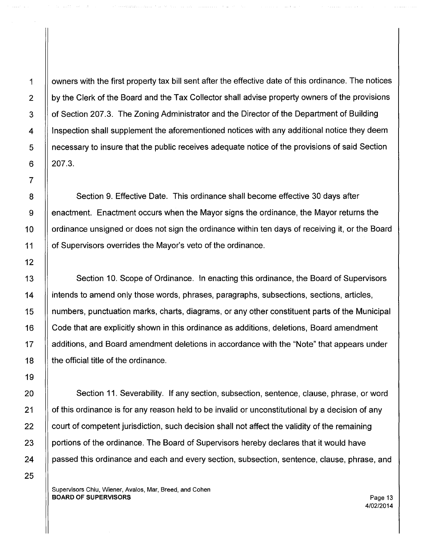1 | owners with the first property tax bill sent after the effective date of this ordinance. The notices  $2 \parallel$  by the Clerk of the Board and the Tax Collector shall advise property owners of the provisions 3 | of Section 207.3. The Zoning Administrator and the Director of the Department of Building 4 Inspection shall supplement the aforementioned notices with any additional notice they deem 5 necessary to insure that the public receives adequate notice of the provisions of said Section 6  $\parallel$  207.3.

8 | Section 9. Effective Date. This ordinance shall become effective 30 days after 9 | enactment. Enactment occurs when the Mayor signs the ordinance, the Mayor returns the 10 If ordinance unsigned or does not sign the ordinance within ten days of receiving it, or the Board 11 of Supervisors overrides the Mayor's veto of the ordinance.

13 | Section 10. Scope of Ordinance. In enacting this ordinance, the Board of Supervisors 14 | intends to amend only those words, phrases, paragraphs, subsections, sections, articles, 15 numbers, punctuation marks, charts, diagrams, or any other constituent parts of the Municipal 16 | Code that are explicitly shown in this ordinance as additions, deletions, Board amendment 17 | additions, and Board amendment deletions in accordance with the "Note" that appears under 18 | the official title of the ordinance.

20 Section 11. Severability. If any section, subsection, sentence, clause, phrase, or word 21 | of this ordinance is for any reason held to be invalid or unconstitutional by a decision of any  $22$  | court of competent jurisdiction, such decision shall not affect the validity of the remaining 23 **portions of the ordinance. The Board of Supervisors hereby declares that it would have** 24 | passed this ordinance and each and every section, subsection, sentence, clause, phrase, and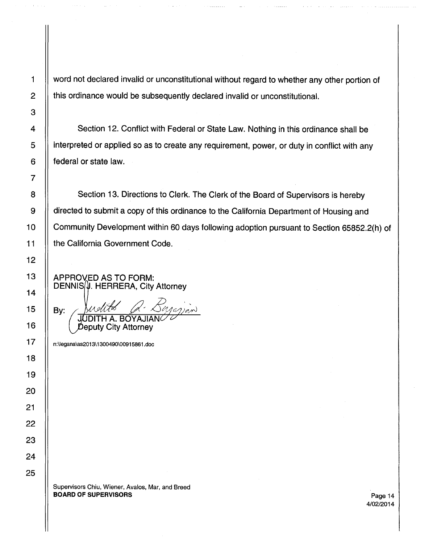1 word not declared invalid or unconstitutional without regard to whether any other portion of  $2$   $\parallel$  this ordinance would be subsequently declared invalid or unconstitutional.

4 | Section 12. Conflict with Federal or State Law. Nothing in this ordinance shall be 5 | interpreted or applied so as to create any requirement, power, or duty in conflict with any 6 | federal or state law.

8 | Section 13. Directions to Clerk. The Clerk of the Board of Supervisors is hereby 9 | directed to submit a copy of this ordinance to the California Department of Housing and 10 | Community Development within 60 days following adoption pursuant to Section 65852.2(h) of 11 | the California Government Code.

APPROVED AS TO FORM:  $DENNIS/\mathcal{Y}$ . HERRERA, City Attorney

By: BOYAJIAN Deputy City Attorney

17 n:\legana\as2013\1300490\00915861.doc

Supervisors Chiu, Wiener, Avalos, Mar, and Breed BOARD OF SUPERVISORS **Page 14** 

4/02/2014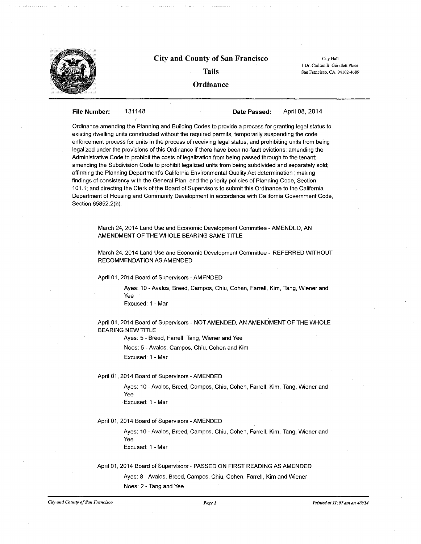

#### **City and County of San Francisco**

**Tails** 

City Hall 1 Dr. Carlton B. Goodlett Place San Francisco, CA 94102-4689

#### **Ordinance**

#### **File Number:** 131148

**Date Passed:** 

April 08, 2014

Ordinance amending the Planning and Building Codes to provide a process for granting legal status to existing dwelling units constructed without the required permits, temporarily suspending the code enforcement process for units in the process of receiving legal status, and prohibiting units from being legalized under the provisions of this Ordinance if there have been no-fault evictions; amending the Administrative Code to prohibit the costs of legalization from being passed through to the tenant; amending the Subdivision Code to prohibit legalized units from being subdivided and separately sold; affirming the Planning Department's California Environmental Quality Act determination; making findings of consistency with the General Plan, and the priority policies of Planning Code, Section 101.1; and directing the Clerk of the Board of Supervisors to submit this Ordinance to the California Department of Housing and Community Development in accordance with California Government Code, Section 65852.2(h).

March 24, 2014 Land Use and Economic Development Committee - AMENDED, AN AMENDMENT OF THE WHOLE BEARING SAME TITLE

March 24, 2014 Land Use and Economic Development Committee - REFERRED WITHOUT RECOMMENDATION AS AMENDED

April 01, 2014 Board of Supervisors -AMENDED

Ayes: 10 - Avalos, Breed, Campos, Chiu, Cohen, Farrell, Kim, Tang, Wiener and Yee Excused: 1 - Mar

April 01, 2014 Board of Supervisors - NOT AMENDED, AN AMENDMENT OF THE WHOLE BEARING NEWTITLE

Ayes: 5 - Breed, Farrell, Tang, Wiener and Yee

Noes: 5 - Avalos, Campos, Chiu, Cohen and Kim

Excused: 1 - Mar

April 01, 2014 Board of Supervisors -AMENDED

Ayes: 10 - Avalos, Breed, Campos, Chiu, Cohen, Farrell, Kim, Tang, Wiener and Yee Excused: 1 - Mar

April 01, 2014 Board of Supervisors - AMENDED

Ayes: 10 -Avalos, Breed, Campos, Chiu, Cohen, Farrell, Kim, Tang, Wiener and Yee Excused: 1 - Mar

April 01, 2014 Board of Supervisors - PASSED ON FIRST READING AS AMENDED

Ayes: 8 - Avalos, Breed, Campos, Chiu, Cohen, Farrell, Kim and Wiener Noes: 2 - Tang and Yee